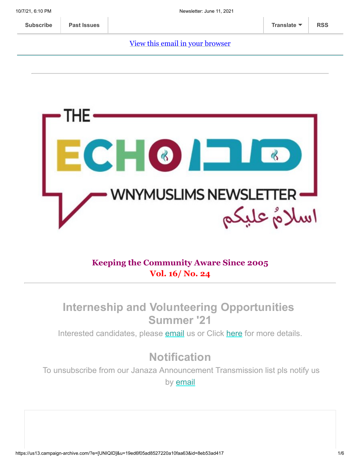#### [View this email in your browser](https://us13.campaign-archive.com/?e=[UNIQID]&u=19ed6f05ad8527220a10faa63&id=8eb53ad417)



### **Keeping the Community Aware Since 2005 Vol. 16/ No. 24**

## **Interneship and Volunteering Opportunities Summer '21**

Interested candidates, please [email](mailto:wnymuslims@wnymuslims.org) us or Click [here](https://wnymuslims.org/volunteer-and-internships-opportunities/) for more details.

# **Notification**

To unsubscribe from our Janaza Announcement Transmission list pls notify us by [email](mailto:wnym@wnymuslims.org?subject=Janaza%20Announcement%20List%20Removal%20Request)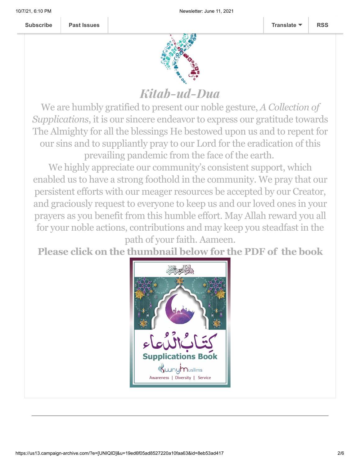

# Kitab-ud-Dua

We are humbly gratified to present our noble gesture, *A Collection of Supplications*, it is our sincere endeavor to express our gratitude towards The Almighty for all the blessings He bestowed upon us and to repent for our sins and to suppliantly pray to our Lord for the eradication of this prevailing pandemic from the face of the earth.

We highly appreciate our community's consistent support, which enabled us to have a strong foothold in the community. We pray that our persistent efforts with our meager resources be accepted by our Creator, and graciously request to everyone to keep us and our loved ones in your prayers as you benefit from this humble effort. May Allah reward you all for your noble actions, contributions and may keep you steadfast in the

path of your faith. Aameen.

**Please click on the thumbnail below for the PDF of the book**

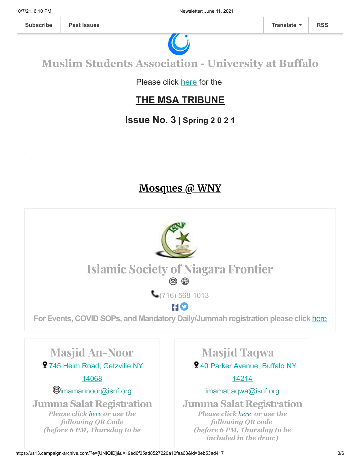

# **Muslim Students Association - University at Buffalo**

Please click [here](https://wnymuslims.org/event/the-msa-tribune/) for the

## **THE MSA TRIBUNE**

## **Issue No. 3 | Spring 2 0 2 1**

## **Mosques @ WNY**

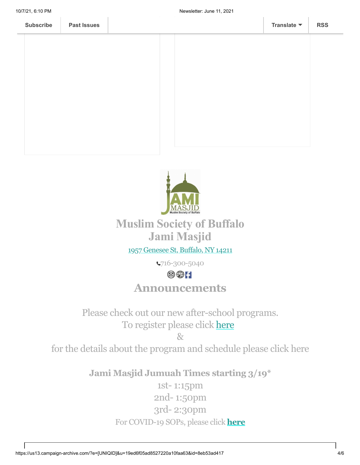



## **Muslim Society of Buffalo Jami Masjid**

#### 1957 [Genesee](https://www.google.com/maps/place/Universal+School/@42.9136906,-78.8116585,17z/data=!3m1!4b1!4m5!3m4!1s0x89d376b466438e9f:0xda418f4c41063eaf!8m2!3d42.9136906!4d-78.8094698) St, Buffalo, NY 14211

716-300-5040

#### $\circledcirc$   $\circ$

## **Announcements**

Please check out our new after-school programs. To register please click [here](http://bit.ly/belikeaisha)

 $R_{\mathcal{T}}$ 

for the details about the program and schedule please click here

**Jami Masjid Jumuah Times starting 3/19\***

1st- 1:15pm 2nd- 1:50pm 3rd- 2:30pm For COVID-19 SOPs, please click **[here](https://jamimasjidbuffalo.com/?fbclid=IwAR0GxShgndrMmvntv1N2_4knDxllAYTIm1bTjRKtlv-C6O2uuMIBSK9UZX0)**